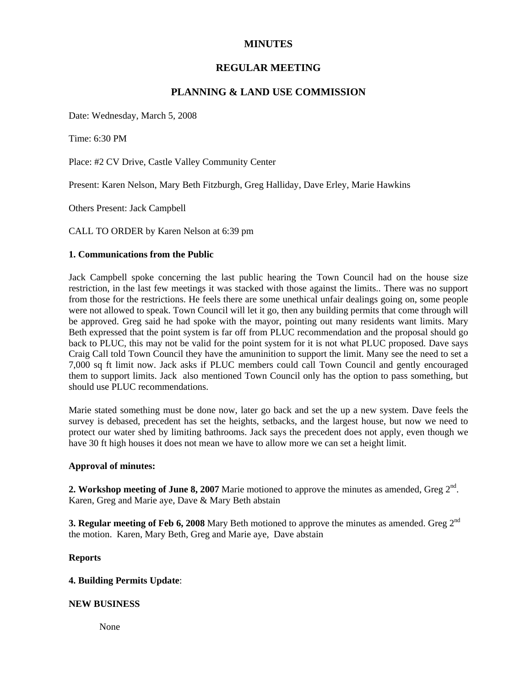# **MINUTES**

# **REGULAR MEETING**

# **PLANNING & LAND USE COMMISSION**

Date: Wednesday, March 5, 2008

Time: 6:30 PM

Place: #2 CV Drive, Castle Valley Community Center

Present: Karen Nelson, Mary Beth Fitzburgh, Greg Halliday, Dave Erley, Marie Hawkins

Others Present: Jack Campbell

CALL TO ORDER by Karen Nelson at 6:39 pm

#### **1. Communications from the Public**

Jack Campbell spoke concerning the last public hearing the Town Council had on the house size restriction, in the last few meetings it was stacked with those against the limits.. There was no support from those for the restrictions. He feels there are some unethical unfair dealings going on, some people were not allowed to speak. Town Council will let it go, then any building permits that come through will be approved. Greg said he had spoke with the mayor, pointing out many residents want limits. Mary Beth expressed that the point system is far off from PLUC recommendation and the proposal should go back to PLUC, this may not be valid for the point system for it is not what PLUC proposed. Dave says Craig Call told Town Council they have the amuninition to support the limit. Many see the need to set a 7,000 sq ft limit now. Jack asks if PLUC members could call Town Council and gently encouraged them to support limits. Jack also mentioned Town Council only has the option to pass something, but should use PLUC recommendations.

Marie stated something must be done now, later go back and set the up a new system. Dave feels the survey is debased, precedent has set the heights, setbacks, and the largest house, but now we need to protect our water shed by limiting bathrooms. Jack says the precedent does not apply, even though we have 30 ft high houses it does not mean we have to allow more we can set a height limit.

#### **Approval of minutes:**

**2. Workshop meeting of June 8, 2007** Marie motioned to approve the minutes as amended, Greg 2<sup>nd</sup>. Karen, Greg and Marie aye, Dave & Mary Beth abstain

**3. Regular meeting of Feb 6, 2008** Mary Beth motioned to approve the minutes as amended. Greg  $2^{nd}$ the motion. Karen, Mary Beth, Greg and Marie aye, Dave abstain

## **Reports**

### **4. Building Permits Update**:

### **NEW BUSINESS**

None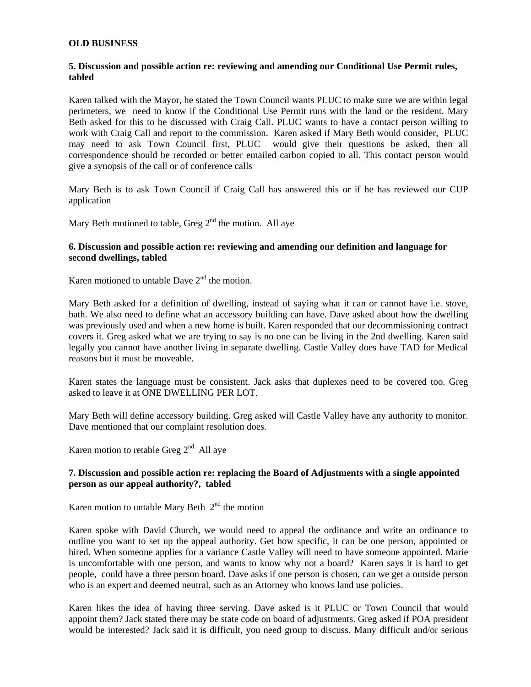#### **OLD BUSINESS**

### **5. Discussion and possible action re: reviewing and amending our Conditional Use Permit rules, tabled**

Karen talked with the Mayor, he stated the Town Council wants PLUC to make sure we are within legal perimeters, we need to know if the Conditional Use Permit runs with the land or the resident. Mary Beth asked for this to be discussed with Craig Call. PLUC wants to have a contact person willing to work with Craig Call and report to the commission. Karen asked if Mary Beth would consider, PLUC may need to ask Town Council first, PLUC would give their questions be asked, then all correspondence should be recorded or better emailed carbon copied to all. This contact person would give a synopsis of the call or of conference calls

Mary Beth is to ask Town Council if Craig Call has answered this or if he has reviewed our CUP application

Mary Beth motioned to table, Greg  $2<sup>nd</sup>$  the motion. All aye

#### **6. Discussion and possible action re: reviewing and amending our definition and language for second dwellings, tabled**

Karen motioned to untable Dave 2<sup>nd</sup> the motion.

Mary Beth asked for a definition of dwelling, instead of saying what it can or cannot have i.e. stove, bath. We also need to define what an accessory building can have. Dave asked about how the dwelling was previously used and when a new home is built. Karen responded that our decommissioning contract covers it. Greg asked what we are trying to say is no one can be living in the 2nd dwelling. Karen said legally you cannot have another living in separate dwelling. Castle Valley does have TAD for Medical reasons but it must be moveable.

Karen states the language must be consistent. Jack asks that duplexes need to be covered too. Greg asked to leave it at ONE DWELLING PER LOT.

Mary Beth will define accessory building. Greg asked will Castle Valley have any authority to monitor. Dave mentioned that our complaint resolution does.

Karen motion to retable Greg  $2<sup>nd</sup>$ . All aye

### **7. Discussion and possible action re: replacing the Board of Adjustments with a single appointed person as our appeal authority?, tabled**

Karen motion to untable Mary Beth  $2<sup>nd</sup>$  the motion

Karen spoke with David Church, we would need to appeal the ordinance and write an ordinance to outline you want to set up the appeal authority. Get how specific, it can be one person, appointed or hired. When someone applies for a variance Castle Valley will need to have someone appointed. Marie is uncomfortable with one person, and wants to know why not a board? Karen says it is hard to get people, could have a three person board. Dave asks if one person is chosen, can we get a outside person who is an expert and deemed neutral, such as an Attorney who knows land use policies.

Karen likes the idea of having three serving. Dave asked is it PLUC or Town Council that would appoint them? Jack stated there may be state code on board of adjustments. Greg asked if POA president would be interested? Jack said it is difficult, you need group to discuss. Many difficult and/or serious